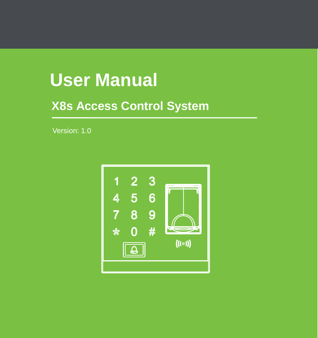# **User Manual**

## **X8s Access Control System**

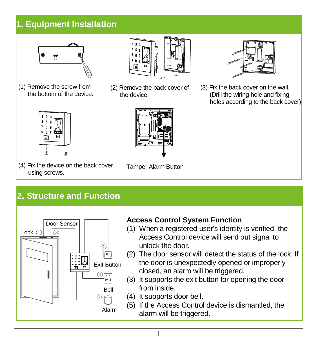## **1. Equipment Installation**



(1) Remove the screw from the bottom of the device.



(2) Remove the back cover of the device.



(3) Fix the back cover on the wall. (Drill the wiring hole and fixing holes according to the back cover)



(4) Fix the device on the back cover using screws.



Tamper Alarm Button

## **2. Structure and Function**



#### **Access Control System Function**:

- (1) When a registered user's identity is verified, the Access Control device will send out signal to unlock the door.
- (2) The door sensor will detect the status of the lock. If the door is unexpectedly opened or improperly closed, an alarm will be triggered.
- (3) It supports the exit button for opening the door from inside.
- (4) It supports door bell.
- (5) If the Access Control device is dismantled, the alarm will be triggered.
	- I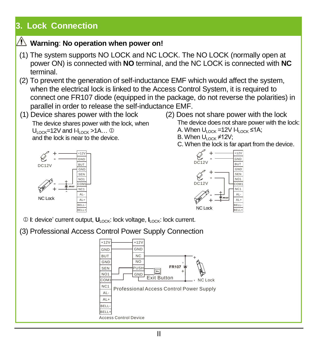## **3. Lock Connection**

## **Warning**: **No operation when power on!**

- (1) The system supports NO LOCK and NC LOCK. The NO LOCK (normally open at power ON) is connected with **NO** terminal, and the NC LOCK is connected with **NC** terminal.
- (2) To prevent the generation of self-inductance EMF which would affect the system, when the electrical lock is linked to the Access Control System, it is required to connect one FR107 diode (equipped in the package, do not reverse the polarities) in parallel in order to release the self-inductance EMF.
- (1) Device shares power with the lock (2) Does not share power with the lock The device shares power with the lock, when  $U_{\text{low}}$ =12V and I-ILock >1A… $\Phi$ and the lock is near to the device.



- The device does not share power with the lock: A. When U<sub>LOCK</sub> =12V I-Lock ≤1A: B. When  $U_{\text{LOCK}} \neq 12V$ ;
	- C. When the lock is far apart from the device.



- **<sup>1</sup>**: device' current output, **U**<sub>LOCK</sub>: lock voltage,  $I_{\text{LOCK}}$ : lock current.
- (3) Professional Access Control Power Supply Connection



II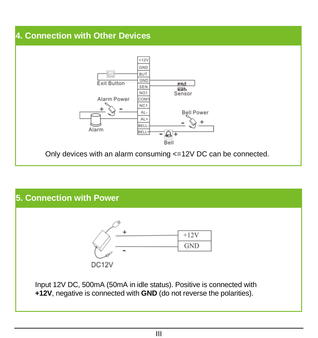## **4. Connection with Other Devices**



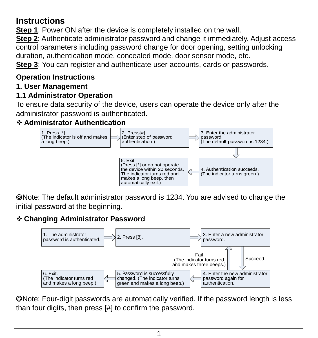### **Instructions**

**Step 1:** Power ON after the device is completely installed on the wall.

**Step 2**: Authenticate administrator password and change it immediately. Adjust access control parameters including password change for door opening, setting unlocking duration, authentication mode, concealed mode, door sensor mode, etc.

**Step 3:** You can register and authenticate user accounts, cards or passwords.

#### **Operation Instructions**

#### **1. User Management**

#### **1.1 Administrator Operation**

To ensure data security of the device, users can operate the device only after the administrator password is authenticated.

#### **Administrator Authentication**



Note: The default administrator password is 1234. You are advised to change the initial password at the beginning.

#### **Changing Administrator Password**



Note: Four-digit passwords are automatically verified. If the password length is less than four digits, then press [#] to confirm the password.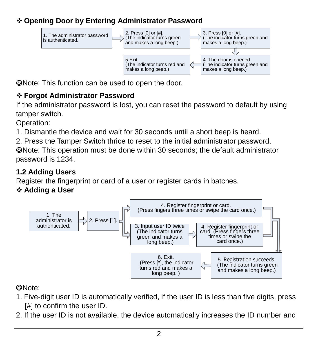#### **Opening Door by Entering Administrator Password**



Note: This function can be used to open the door.

#### **Forgot Administrator Password**

If the administrator password is lost, you can reset the password to default by using tamper switch.

Operation:

1. Dismantle the device and wait for 30 seconds until a short beep is heard.

2. Press the Tamper Switch thrice to reset to the initial administrator password.

Note: This operation must be done within 30 seconds; the default administrator password is 1234.

#### **1.2 Adding Users**

Register the fingerprint or card of a user or register cards in batches.

#### **Adding a User**



#### Note:

- 1. Five-digit user ID is automatically verified, if the user ID is less than five digits, press [#] to confirm the user ID.
- 2. If the user ID is not available, the device automatically increases the ID number and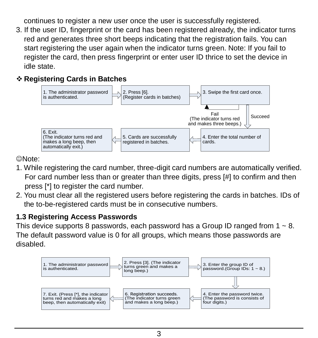continues to register a new user once the user is successfully registered.

3. If the user ID, fingerprint or the card has been registered already, the indicator turns red and generates three short beeps indicating that the registration fails. You can start registering the user again when the indicator turns green. Note: If you fail to register the card, then press fingerprint or enter user ID thrice to set the device in idle state.

#### **Registering Cards in Batches**



Note:

- 1. While registering the card number, three-digit card numbers are automatically verified. For card number less than or greater than three digits, press [#] to confirm and then press [\*] to register the card number.
- 2. You must clear all the registered users before registering the cards in batches. IDs of the to-be-registered cards must be in consecutive numbers.

#### **1.3 Registering Access Passwords**

This device supports 8 passwords, each password has a Group ID ranged from  $1 \approx 8$ . The default password value is 0 for all groups, which means those passwords are disabled.

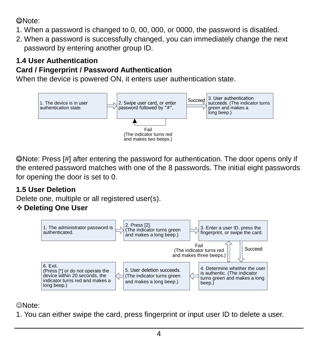#### Note:

- 1. When a password is changed to 0, 00, 000, or 0000, the password is disabled.
- 2. When a password is successfully changed, you can immediately change the next password by entering another group ID.

#### **1.4 User Authentication**

#### **Card / Fingerprint / Password Authentication**

When the device is powered ON, it enters user authentication state.



Note: Press [#] after entering the password for authentication. The door opens only if the entered password matches with one of the 8 passwords. The initial eight passwords for opening the door is set to 0.

#### **1.5 User Deletion**

Delete one, multiple or all registered user(s).

#### **Deleting One User**



Note:

1. You can either swipe the card, press fingerprint or input user ID to delete a user.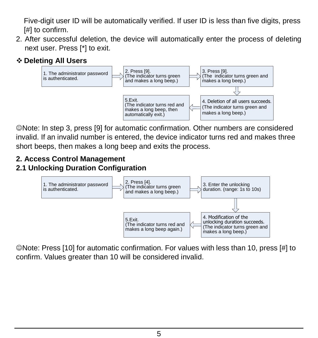Five-digit user ID will be automatically verified. If user ID is less than five digits, press [#] to confirm.

- 2. After successful deletion, the device will automatically enter the process of deleting next user. Press [\*] to exit.
- **Deleting All Users**



Note: In step 3, press [9] for automatic confirmation. Other numbers are considered invalid. If an invalid number is entered, the device indicator turns red and makes three short beeps, then makes a long beep and exits the process.

#### **2. Access Control Management**

#### **2.1 Unlocking Duration Configuration**



Note: Press [10] for automatic confirmation. For values with less than 10, press [#] to confirm. Values greater than 10 will be considered invalid.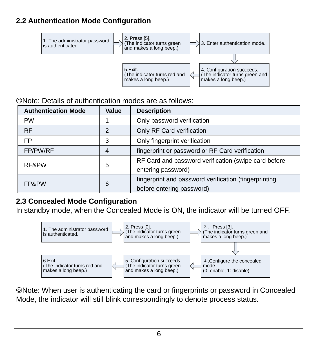#### **2.2 Authentication Mode Configuration**



#### Note: Details of authentication modes are as follows:

| <b>Authentication Mode</b> | Value | <b>Description</b>                                                                 |
|----------------------------|-------|------------------------------------------------------------------------------------|
| PW                         |       | Only password verification                                                         |
| <b>RF</b>                  | 2     | Only RF Card verification                                                          |
| <b>FP</b>                  | 3     | Only fingerprint verification                                                      |
| FP/PW/RF                   |       | fingerprint or password or RF Card verification                                    |
| RF&PW                      | 5     | RF Card and password verification (swipe card before<br>entering password)         |
| FP&PW                      | 6     | fingerprint and password verification (fingerprinting<br>before entering password) |

#### **2.3 Concealed Mode Configuration**

In standby mode, when the Concealed Mode is ON, the indicator will be turned OFF.



Note: When user is authenticating the card or fingerprints or password in Concealed Mode, the indicator will still blink correspondingly to denote process status.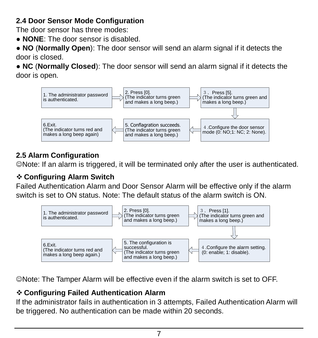#### **2.4 Door Sensor Mode Configuration**

The door sensor has three modes:

● **NONE**: The door sensor is disabled.

● **NO** (**Normally Open**): The door sensor will send an alarm signal if it detects the door is closed.

● **NC** (**Normally Closed**): The door sensor will send an alarm signal if it detects the door is open.



#### **2.5 Alarm Configuration**

Note: If an alarm is triggered, it will be terminated only after the user is authenticated.

#### **Configuring Alarm Switch**

Failed Authentication Alarm and Door Sensor Alarm will be effective only if the alarm switch is set to ON status. Note: The default status of the alarm switch is ON.



Note: The Tamper Alarm will be effective even if the alarm switch is set to OFF.

#### **Configuring Failed Authentication Alarm**

If the administrator fails in authentication in 3 attempts, Failed Authentication Alarm will be triggered. No authentication can be made within 20 seconds.